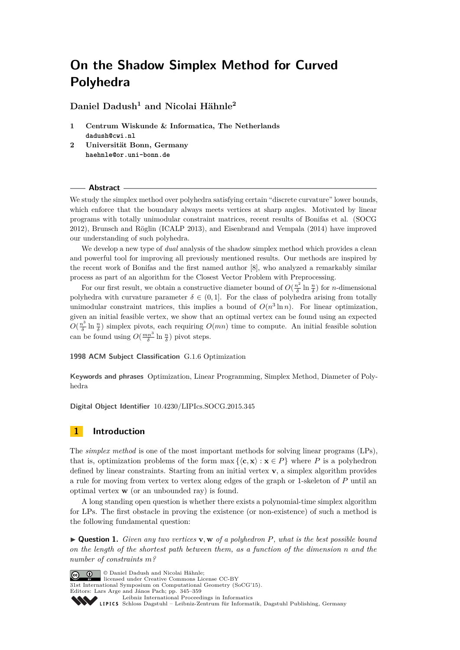**Daniel Dadush<sup>1</sup> and Nicolai Hähnle<sup>2</sup>**

- **1 Centrum Wiskunde & Informatica, The Netherlands dadush@cwi.nl**
- **2 Universität Bonn, Germany haehnle@or.uni-bonn.de**

#### **Abstract**

We study the simplex method over polyhedra satisfying certain "discrete curvature" lower bounds, which enforce that the boundary always meets vertices at sharp angles. Motivated by linear programs with totally unimodular constraint matrices, recent results of Bonifas et al. (SOCG 2012), Brunsch and Röglin (ICALP 2013), and Eisenbrand and Vempala (2014) have improved our understanding of such polyhedra.

We develop a new type of *dual* analysis of the shadow simplex method which provides a clean and powerful tool for improving all previously mentioned results. Our methods are inspired by the recent work of Bonifas and the first named author [\[8\]](#page-14-0), who analyzed a remarkably similar process as part of an algorithm for the Closest Vector Problem with Preprocessing.

For our first result, we obtain a constructive diameter bound of  $O(\frac{n^2}{\delta})$  $\frac{n^2}{\delta} \ln \frac{n}{\delta}$  for *n*-dimensional polyhedra with curvature parameter  $\delta \in (0,1]$ . For the class of polyhedra arising from totally unimodular constraint matrices, this implies a bound of  $O(n^3 \ln n)$ . For linear optimization, given an initial feasible vertex, we show that an optimal vertex can be found using an expected  $O(\frac{n^3}{\delta})$  $\frac{n^3}{\delta}$  ln  $\frac{n}{\delta}$ ) simplex pivots, each requiring  $O(mn)$  time to compute. An initial feasible solution can be found using  $O(\frac{mn^3}{\delta} \ln \frac{n}{\delta})$  pivot steps.

**1998 ACM Subject Classification** G.1.6 Optimization

**Keywords and phrases** Optimization, Linear Programming, Simplex Method, Diameter of Polyhedra

**Digital Object Identifier** [10.4230/LIPIcs.SOCG.2015.345](http://dx.doi.org/10.4230/LIPIcs.SOCG.2015.345)

# **1 Introduction**

The *simplex method* is one of the most important methods for solving linear programs (LPs), that is, optimization problems of the form  $\max \{ \langle c, \mathbf{x} \rangle : \mathbf{x} \in P \}$  where P is a polyhedron defined by linear constraints. Starting from an initial vertex **v**, a simplex algorithm provides a rule for moving from vertex to vertex along edges of the graph or 1-skeleton of *P* until an optimal vertex **w** (or an unbounded ray) is found.

A long standing open question is whether there exists a polynomial-time simplex algorithm for LPs. The first obstacle in proving the existence (or non-existence) of such a method is the following fundamental question:

I **Question 1.** *Given any two vertices* **v***,* **w** *of a polyhedron P, what is the best possible bound on the length of the shortest path between them, as a function of the dimension n and the number of constraints m?*

© Daniel Dadush and Nicolai Hähnle; licensed under Creative Commons License CC-BY 31st International Symposium on Computational Geometry (SoCG'15). Editors: Lars Arge and János Pach; pp. 345[–359](#page-14-1) [Leibniz International Proceedings in Informatics](http://www.dagstuhl.de/lipics/) Leibniz International Froceedings in Informatik, Dagstuhl Publishing, Germany<br>LIPICS [Schloss Dagstuhl – Leibniz-Zentrum für Informatik, Dagstuhl Publishing, Germany](http://www.dagstuhl.de)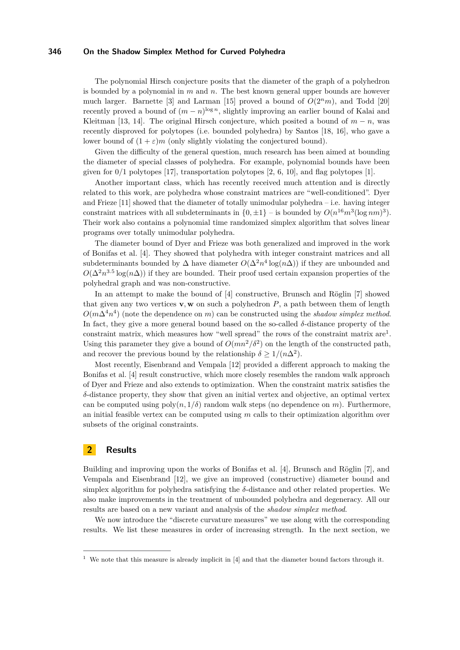The polynomial Hirsch conjecture posits that the diameter of the graph of a polyhedron is bounded by a polynomial in *m* and *n*. The best known general upper bounds are however much larger. Barnette [\[3\]](#page-13-0) and Larman [\[15\]](#page-14-2) proved a bound of  $O(2<sup>n</sup>m)$ , and Todd [\[20\]](#page-14-3) recently proved a bound of  $(m - n)^{\log n}$ , slightly improving an earlier bound of Kalai and Kleitman [\[13,](#page-14-4) [14\]](#page-14-5). The original Hirsch conjecture, which posited a bound of  $m - n$ , was recently disproved for polytopes (i.e. bounded polyhedra) by Santos [\[18,](#page-14-6) [16\]](#page-14-7), who gave a lower bound of  $(1 + \varepsilon)m$  (only slightly violating the conjectured bound).

Given the difficulty of the general question, much research has been aimed at bounding the diameter of special classes of polyhedra. For example, polynomial bounds have been given for 0*/*1 polytopes [\[17\]](#page-14-8), transportation polytopes [\[2,](#page-13-1) [6,](#page-14-9) [10\]](#page-14-10), and flag polytopes [\[1\]](#page-13-2).

Another important class, which has recently received much attention and is directly related to this work, are polyhedra whose constraint matrices are "well-conditioned". Dyer and Frieze  $[11]$  showed that the diameter of totally unimodular polyhedra – i.e. having integer constraint matrices with all subdeterminants in  $\{0, \pm 1\}$  – is bounded by  $O(n^{16}m^3(\log nm)^3)$ . Their work also contains a polynomial time randomized simplex algorithm that solves linear programs over totally unimodular polyhedra.

The diameter bound of Dyer and Frieze was both generalized and improved in the work of Bonifas et al. [\[4\]](#page-14-12). They showed that polyhedra with integer constraint matrices and all subdeterminants bounded by  $\Delta$  have diameter  $O(\Delta^2 n^4 \log(n\Delta))$  if they are unbounded and  $O(\Delta^2 n^{3.5} \log(n\Delta))$  if they are bounded. Their proof used certain expansion properties of the polyhedral graph and was non-constructive.

In an attempt to make the bound of [\[4\]](#page-14-12) constructive, Brunsch and Röglin [\[7\]](#page-14-13) showed that given any two vertices  $\mathbf{v}, \mathbf{w}$  on such a polyhedron  $P$ , a path between them of length  $O(m\Delta^4 n^4)$  (note the dependence on *m*) can be constructed using the *shadow simplex method*. In fact, they give a more general bound based on the so-called  $\delta$ -distance property of the constraint matrix, which measures how "well spread" the rows of the constraint matrix are<sup>[1](#page-1-0)</sup>. Using this parameter they give a bound of  $O(mn^2/\delta^2)$  on the length of the constructed path, and recover the previous bound by the relationship  $\delta \geq 1/(n\Delta^2)$ .

Most recently, Eisenbrand and Vempala [\[12\]](#page-14-14) provided a different approach to making the Bonifas et al. [\[4\]](#page-14-12) result constructive, which more closely resembles the random walk approach of Dyer and Frieze and also extends to optimization. When the constraint matrix satisfies the *δ*-distance property, they show that given an initial vertex and objective, an optimal vertex can be computed using  $poly(n, 1/\delta)$  random walk steps (no dependence on *m*). Furthermore, an initial feasible vertex can be computed using *m* calls to their optimization algorithm over subsets of the original constraints.

# <span id="page-1-1"></span>**2 Results**

Building and improving upon the works of Bonifas et al. [\[4\]](#page-14-12), Brunsch and Röglin [\[7\]](#page-14-13), and Vempala and Eisenbrand [\[12\]](#page-14-14), we give an improved (constructive) diameter bound and simplex algorithm for polyhedra satisfying the *δ*-distance and other related properties. We also make improvements in the treatment of unbounded polyhedra and degeneracy. All our results are based on a new variant and analysis of the *shadow simplex method*.

We now introduce the "discrete curvature measures" we use along with the corresponding results. We list these measures in order of increasing strength. In the next section, we

<span id="page-1-0"></span><sup>&</sup>lt;sup>1</sup> We note that this measure is already implicit in  $[4]$  and that the diameter bound factors through it.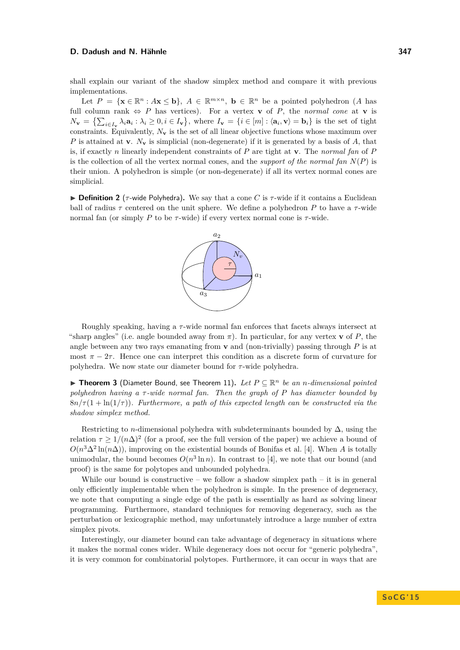shall explain our variant of the shadow simplex method and compare it with previous implementations.

Let  $P = \{ \mathbf{x} \in \mathbb{R}^n : A\mathbf{x} \leq \mathbf{b} \}, A \in \mathbb{R}^{m \times n}, \mathbf{b} \in \mathbb{R}^n \text{ be a pointed polyhedron } (A \text{ has } \mathbf{b}) \}$ full column rank  $\Leftrightarrow$  *P* has vertices). For a vertex **v** of *P*, the *normal cone* at **v** is  $N_{\mathbf{v}} = \left\{ \sum_{i \in I_{\mathbf{v}}} \lambda_i \mathbf{a}_i : \lambda_i \geq 0, i \in I_{\mathbf{v}} \right\}$ , where  $I_{\mathbf{v}} = \left\{ i \in [m] : \langle \mathbf{a}_i, \mathbf{v} \rangle = \mathbf{b}_i \right\}$  is the set of tight constraints. Equivalently,  $N_{\mathbf{v}}$  is the set of all linear objective functions whose maximum over *P* is attained at **v**. *N***<sup>v</sup>** is simplicial (non-degenerate) if it is generated by a basis of *A*, that is, if exactly *n* linearly independent constraints of *P* are tight at **v**. The *normal fan* of *P* is the collection of all the vertex normal cones, and the *support of the normal fan*  $N(P)$  is their union. A polyhedron is simple (or non-degenerate) if all its vertex normal cones are simplicial.

**Definition 2** ( $\tau$ -wide Polyhedra). We say that a cone *C* is  $\tau$ -wide if it contains a Euclidean ball of radius  $\tau$  centered on the unit sphere. We define a polyhedron *P* to have a  $\tau$ -wide normal fan (or simply *P* to be  $\tau$ -wide) if every vertex normal cone is  $\tau$ -wide.



Roughly speaking, having a *τ* -wide normal fan enforces that facets always intersect at "sharp angles" (i.e. angle bounded away from  $\pi$ ). In particular, for any vertex **v** of P, the angle between any two rays emanating from  $\bf{v}$  and (non-trivially) passing through  $\bf{P}$  is at most  $\pi - 2\tau$ . Hence one can interpret this condition as a discrete form of curvature for polyhedra. We now state our diameter bound for *τ* -wide polyhedra.

**► Theorem 3** (Diameter Bound, see Theorem [11\)](#page-6-0). Let  $P \subseteq \mathbb{R}^n$  be an *n*-dimensional pointed *polyhedron having a τ -wide normal fan. Then the graph of P has diameter bounded by*  $8n/\tau(1 + \ln(1/\tau))$ *. Furthermore, a path of this expected length can be constructed via the shadow simplex method.*

Restricting to *n*-dimensional polyhedra with subdeterminants bounded by  $\Delta$ , using the relation  $\tau \geq 1/(n\Delta)^2$  (for a proof, see the full version of the paper) we achieve a bound of  $O(n^3\Delta^2 \ln(n\Delta))$ , improving on the existential bounds of Bonifas et al. [\[4\]](#page-14-12). When *A* is totally unimodular, the bound becomes  $O(n^3 \ln n)$ . In contrast to [\[4\]](#page-14-12), we note that our bound (and proof) is the same for polytopes and unbounded polyhedra.

While our bound is constructive – we follow a shadow simplex path – it is in general only efficiently implementable when the polyhedron is simple. In the presence of degeneracy, we note that computing a single edge of the path is essentially as hard as solving linear programming. Furthermore, standard techniques for removing degeneracy, such as the perturbation or lexicographic method, may unfortunately introduce a large number of extra simplex pivots.

Interestingly, our diameter bound can take advantage of degeneracy in situations where it makes the normal cones wider. While degeneracy does not occur for "generic polyhedra", it is very common for combinatorial polytopes. Furthermore, it can occur in ways that are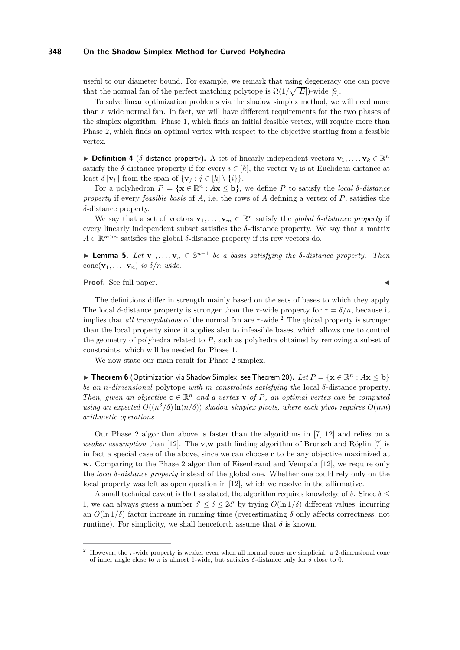useful to our diameter bound. For example, we remark that using degeneracy one can prove that the normal fan of the perfect matching polytope is  $\Omega(1/\sqrt{|E|})$ -wide [\[9\]](#page-14-15).

To solve linear optimization problems via the shadow simplex method, we will need more than a wide normal fan. In fact, we will have different requirements for the two phases of the simplex algorithm: Phase 1, which finds an initial feasible vertex, will require more than Phase 2, which finds an optimal vertex with respect to the objective starting from a feasible vertex.

 $\triangleright$  **Definition 4** (*δ*-distance property). A set of linearly independent vectors  $\mathbf{v}_1, \dots, \mathbf{v}_k \in \mathbb{R}^n$ satisfy the *δ*-distance property if for every  $i \in [k]$ , the vector  $\mathbf{v}_i$  is at Euclidean distance at least  $\delta \|\mathbf{v}_i\|$  from the span of  $\{\mathbf{v}_i : j \in [k] \setminus \{i\}\}.$ 

For a polyhedron  $P = \{ \mathbf{x} \in \mathbb{R}^n : A\mathbf{x} \leq \mathbf{b} \}$ , we define P to satisfy the *local*  $\delta$ *-distance property* if every *feasible basis* of *A*, i.e. the rows of *A* defining a vertex of *P*, satisfies the *δ*-distance property.

We say that a set of vectors  $\mathbf{v}_1, \ldots, \mathbf{v}_m \in \mathbb{R}^n$  satisfy the *global*  $\delta$ *-distance property* if every linearly independent subset satisfies the  $\delta$ -distance property. We say that a matrix  $A \in \mathbb{R}^{m \times n}$  satisfies the global  $\delta$ -distance property if its row vectors do.

<span id="page-3-1"></span>**► Lemma 5.** Let  $\mathbf{v}_1, \ldots, \mathbf{v}_n \in \mathbb{S}^{n-1}$  be a basis satisfying the  $\delta$ -distance property. Then  $cone(\mathbf{v}_1, \ldots, \mathbf{v}_n)$  *is*  $\delta/n$ *-wide.* 

**Proof.** See full paper.

The definitions differ in strength mainly based on the sets of bases to which they apply. The local *δ*-distance property is stronger than the *τ*-wide property for  $\tau = \delta/n$ , because it implies that *all triangulations* of the normal fan are  $\tau$ -wide.<sup>[2](#page-3-0)</sup> The global property is stronger than the local property since it applies also to infeasible bases, which allows one to control the geometry of polyhedra related to *P*, such as polyhedra obtained by removing a subset of constraints, which will be needed for Phase 1.

We now state our main result for Phase 2 simplex.

▶ Theorem 6 (Optimization via Shadow Simplex, see Theorem [20\)](#page-10-0).  $Let P = \{ \mathbf{x} \in \mathbb{R}^n : A\mathbf{x} \leq \mathbf{b} \}$ *be an n-dimensional* polytope *with m constraints satisfying the* local *δ*-distance property*. Then, given an objective*  $\mathbf{c} \in \mathbb{R}^n$  *and a vertex* **v** *of P, an optimal vertex can be computed using an expected*  $O((n^3/\delta) \ln(n/\delta))$  *shadow simplex pivots, where each pivot requires*  $O(mn)$ *arithmetic operations.*

Our Phase 2 algorithm above is faster than the algorithms in [\[7,](#page-14-13) [12\]](#page-14-14) and relies on a *weaker assumption* than [\[12\]](#page-14-14). The **v**,**w** path finding algorithm of Brunsch and Röglin [\[7\]](#page-14-13) is in fact a special case of the above, since we can choose **c** to be any objective maximized at **w**. Comparing to the Phase 2 algorithm of Eisenbrand and Vempala [\[12\]](#page-14-14), we require only the *local δ-distance property* instead of the global one. Whether one could rely only on the local property was left as open question in [\[12\]](#page-14-14), which we resolve in the affirmative.

A small technical caveat is that as stated, the algorithm requires knowledge of  $\delta$ . Since  $\delta \leq$ 1, we can always guess a number  $\delta' \leq \delta \leq 2\delta'$  by trying  $O(\ln 1/\delta)$  different values, incurring an  $O(\ln 1/\delta)$  factor increase in running time (overestimating  $\delta$  only affects correctness, not runtime). For simplicity, we shall henceforth assume that  $\delta$  is known.

<span id="page-3-0"></span><sup>&</sup>lt;sup>2</sup> However, the *τ*-wide property is weaker even when all normal cones are simplicial: a 2-dimensional cone of inner angle close to *π* is almost 1-wide, but satisfies *δ*-distance only for *δ* close to 0.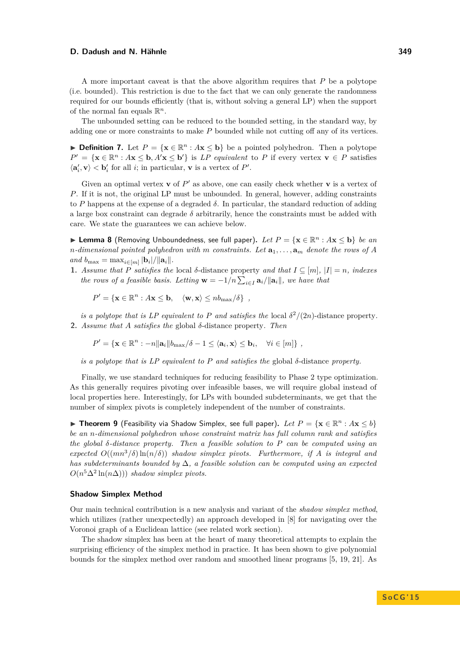A more important caveat is that the above algorithm requires that *P* be a polytope (i.e. bounded). This restriction is due to the fact that we can only generate the randomness required for our bounds efficiently (that is, without solving a general LP) when the support of the normal fan equals  $\mathbb{R}^n$ .

The unbounded setting can be reduced to the bounded setting, in the standard way, by adding one or more constraints to make *P* bounded while not cutting off any of its vertices.

**► Definition 7.** Let  $P = \{x \in \mathbb{R}^n : Ax \leq b\}$  be a pointed polyhedron. Then a polytope  $P' = \{ \mathbf{x} \in \mathbb{R}^n : A\mathbf{x} \leq \mathbf{b}, A'\mathbf{x} \leq \mathbf{b}' \}$  is *LP equivalent* to *P* if every vertex  $\mathbf{v} \in P$  satisfies  $\langle \mathbf{a}'_i, \mathbf{v} \rangle < \mathbf{b}'_i$  for all *i*; in particular, **v** is a vertex of *P'*.

Given an optimal vertex **v** of  $P'$  as above, one can easily check whether **v** is a vertex of *P*. If it is not, the original LP must be unbounded. In general, however, adding constraints to *P* happens at the expense of a degraded *δ*. In particular, the standard reduction of adding a large box constraint can degrade *δ* arbitrarily, hence the constraints must be added with care. We state the guarantees we can achieve below.

I **Lemma 8** (Removing Unboundedness, see full paper)**.** *Let P* = {**x** ∈ R *<sup>n</sup>* : *A***x** ≤ **b**} *be an n*-dimensional pointed polyhedron with *m* constraints. Let  $\mathbf{a}_1, \ldots, \mathbf{a}_m$  denote the rows of A  $and$   $b_{\max} = \max_{i \in [m]} |b_i|/||a_i||.$ 

**1.** *Assume that P satisfies the* local *δ*-distance property *and that*  $I \subseteq [m]$ ,  $|I| = n$ *, indexes the rows of a feasible basis. Letting*  $\mathbf{w} = -1/n \sum_{i \in I} \mathbf{a}_i / ||\mathbf{a}_i||$ , we have that

$$
P' = \{ \mathbf{x} \in \mathbb{R}^n : A\mathbf{x} \leq \mathbf{b}, \quad \langle \mathbf{w}, \mathbf{x} \rangle \leq nb_{\max}/\delta \},
$$

*is a polytope that is LP equivalent to P and satisfies the* local  $\delta^2/(2n)$ -distance property. **2.** *Assume that A satisfies the* global *δ*-distance property*. Then*

 $P' = {\mathbf{x} \in \mathbb{R}^n : -n\|\mathbf{a}_i\|b_{\max}/\delta - 1 \le \langle \mathbf{a}_i, \mathbf{x} \rangle \le \mathbf{b}_i, \quad \forall i \in [m]\}\,$ 

*is a polytope that is LP equivalent to P and satisfies the* global *δ*-distance *property.*

Finally, we use standard techniques for reducing feasibility to Phase 2 type optimization. As this generally requires pivoting over infeasible bases, we will require global instead of local properties here. Interestingly, for LPs with bounded subdeterminants, we get that the number of simplex pivots is completely independent of the number of constraints.

▶ Theorem 9 (Feasibility via Shadow Simplex, see full paper). Let  $P = \{x \in \mathbb{R}^n : Ax \leq b\}$ *be an n-dimensional polyhedron whose constraint matrix has full column rank and satisfies the global δ-distance property. Then a feasible solution to P can be computed using an*  $e$ *xpected*  $O((mn^3/\delta) \ln(n/\delta))$  *shadow simplex pivots. Furthermore, if A is integral and has subdeterminants bounded by* ∆*, a feasible solution can be computed using an expected*  $O(n^5\Delta^2 \ln(n\Delta)))$  *shadow simplex pivots.* 

# **Shadow Simplex Method**

Our main technical contribution is a new analysis and variant of the *shadow simplex method*, which utilizes (rather unexpectedly) an approach developed in [\[8\]](#page-14-0) for navigating over the Voronoi graph of a Euclidean lattice (see related work section).

The shadow simplex has been at the heart of many theoretical attempts to explain the surprising efficiency of the simplex method in practice. It has been shown to give polynomial bounds for the simplex method over random and smoothed linear programs [\[5,](#page-14-16) [19,](#page-14-17) [21\]](#page-14-18). As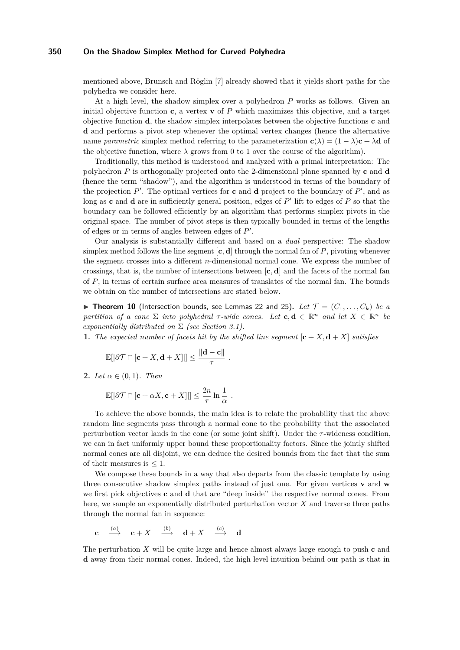mentioned above, Brunsch and Röglin [\[7\]](#page-14-13) already showed that it yields short paths for the polyhedra we consider here.

At a high level, the shadow simplex over a polyhedron *P* works as follows. Given an initial objective function **c**, a vertex **v** of *P* which maximizes this objective, and a target objective function **d**, the shadow simplex interpolates between the objective functions **c** and **d** and performs a pivot step whenever the optimal vertex changes (hence the alternative name *parametric* simplex method referring to the parameterization  $\mathbf{c}(\lambda) = (1 - \lambda)\mathbf{c} + \lambda\mathbf{d}$  of the objective function, where  $\lambda$  grows from 0 to 1 over the course of the algorithm).

Traditionally, this method is understood and analyzed with a primal interpretation: The polyhedron *P* is orthogonally projected onto the 2-dimensional plane spanned by **c** and **d** (hence the term "shadow"), and the algorithm is understood in terms of the boundary of the projection  $P'$ . The optimal vertices for **c** and **d** project to the boundary of  $P'$ , and as long as **c** and **d** are in sufficiently general position, edges of  $P'$  lift to edges of  $P$  so that the boundary can be followed efficiently by an algorithm that performs simplex pivots in the original space. The number of pivot steps is then typically bounded in terms of the lengths of edges or in terms of angles between edges of  $P'$ .

Our analysis is substantially different and based on a *dual* perspective: The shadow simplex method follows the line segment  $[c, d]$  through the normal fan of  $P$ , pivoting whenever the segment crosses into a different *n*-dimensional normal cone. We express the number of crossings, that is, the number of intersections between  $[\mathbf{c}, \mathbf{d}]$  and the facets of the normal fan of *P*, in terms of certain surface area measures of translates of the normal fan. The bounds we obtain on the number of intersections are stated below.

<span id="page-5-0"></span> $\triangleright$  **Theorem 10** (Intersection bounds, see Lemmas [22](#page-11-0) and [25\)](#page-13-3). Let  $\mathcal{T} = (C_1, \ldots, C_k)$  be a *partition of a cone*  $\Sigma$  *into polyhedral*  $\tau$ -wide cones. Let  $c, d \in \mathbb{R}^n$  and let  $X \in \mathbb{R}^n$  be *exponentially distributed on* Σ *(see Section [3.1\)](#page-7-0).*

**1.** The expected number of facets hit by the shifted line segment  $[\mathbf{c} + X, \mathbf{d} + X]$  satisfies

$$
\mathbb{E}[|\partial \mathcal{T} \cap [\mathbf{c} + X, \mathbf{d} + X]|] \le \frac{\|\mathbf{d} - \mathbf{c}\|}{\tau}.
$$

**2.** *Let*  $\alpha \in (0,1)$ *. Then* 

$$
\mathbb{E}[|\partial \mathcal{T} \cap [\mathbf{c} + \alpha X, \mathbf{c} + X]|] \leq \frac{2n}{\tau} \ln \frac{1}{\alpha}.
$$

To achieve the above bounds, the main idea is to relate the probability that the above random line segments pass through a normal cone to the probability that the associated perturbation vector lands in the cone (or some joint shift). Under the *τ* -wideness condition, we can in fact uniformly upper bound these proportionality factors. Since the jointly shifted normal cones are all disjoint, we can deduce the desired bounds from the fact that the sum of their measures is  $\leq 1$ .

We compose these bounds in a way that also departs from the classic template by using three consecutive shadow simplex paths instead of just one. For given vertices **v** and **w** we first pick objectives **c** and **d** that are "deep inside" the respective normal cones. From here, we sample an exponentially distributed perturbation vector *X* and traverse three paths through the normal fan in sequence:

$$
\mathbf{c} \quad \xrightarrow{(a)} \quad \mathbf{c} + X \quad \xrightarrow{(b)} \quad \mathbf{d} + X \quad \xrightarrow{(c)} \quad \mathbf{d}
$$

The perturbation *X* will be quite large and hence almost always large enough to push **c** and **d** away from their normal cones. Indeed, the high level intuition behind our path is that in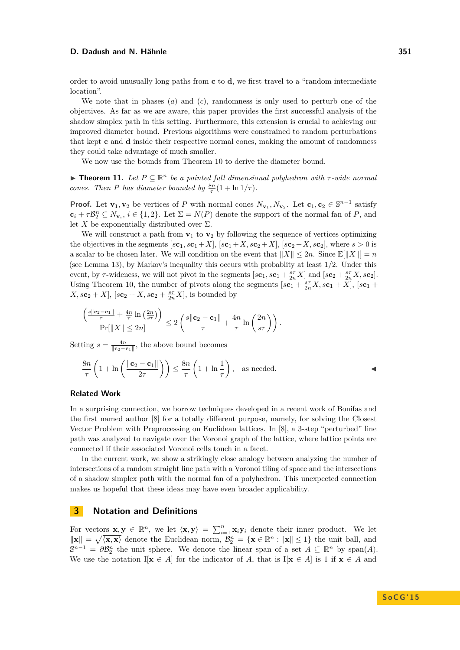order to avoid unusually long paths from **c** to **d**, we first travel to a "random intermediate location".

We note that in phases (*a*) and (*c*), randomness is only used to perturb one of the objectives. As far as we are aware, this paper provides the first successful analysis of the shadow simplex path in this setting. Furthermore, this extension is crucial to achieving our improved diameter bound. Previous algorithms were constrained to random perturbations that kept **c** and **d** inside their respective normal cones, making the amount of randomness they could take advantage of much smaller.

We now use the bounds from Theorem [10](#page-5-0) to derive the diameter bound.

<span id="page-6-0"></span>**Findment 11.** Let  $P \subseteq \mathbb{R}^n$  be a pointed full dimensional polyhedron with  $\tau$ -wide normal *cones. Then P has diameter bounded by*  $\frac{8n}{\tau}(1 + \ln 1/\tau)$ *.* 

**Proof.** Let **v**<sub>1</sub>, **v**<sub>2</sub> be vertices of *P* with normal cones  $N_{\mathbf{v}_1}, N_{\mathbf{v}_2}$ . Let  $\mathbf{c}_1, \mathbf{c}_2 \in \mathbb{S}^{n-1}$  satisfy  $\mathbf{c}_i + \tau \mathcal{B}_2^n \subseteq N_{\mathbf{v}_i}$ ,  $i \in \{1,2\}$ . Let  $\Sigma = N(P)$  denote the support of the normal fan of *P*, and let *X* be exponentially distributed over  $\Sigma$ .

We will construct a path from  $\mathbf{v}_1$  to  $\mathbf{v}_2$  by following the sequence of vertices optimizing the objectives in the segments  $[\mathbf{sc}_1, \mathbf{sc}_1 + X]$ ,  $[\mathbf{sc}_1 + X, \mathbf{sc}_2 + X]$ ,  $[\mathbf{sc}_2 + X, \mathbf{sc}_2]$ , where  $s > 0$  is a scalar to be chosen later. We will condition on the event that  $||X|| \leq 2n$ . Since  $\mathbb{E}|||X||| = n$ (see Lemma [13\)](#page-7-1), by Markov's inequality this occurs with probablity at least 1*/*2. Under this event, by  $\tau$ -wideness, we will not pivot in the segments  $[s\mathbf{c}_1, s\mathbf{c}_1 + \frac{s\tau}{2n}X]$  and  $[s\mathbf{c}_2 + \frac{s\tau}{2n}X, s\mathbf{c}_2]$ . Using Theorem [10,](#page-5-0) the number of pivots along the segments  $[s\mathbf{c}_1 + \frac{s\tau}{2n}X, s\mathbf{c}_1 + X]$ ,  $[s\mathbf{c}_1 +$  $X, s\mathbf{c}_2 + X$ ,  $[s\mathbf{c}_2 + X, s\mathbf{c}_2 + \frac{s\tau}{2n}X]$ , is bounded by

$$
\frac{\left(\frac{s\|\mathbf{c}_2-\mathbf{c}_1\|}{\tau}+\frac{4n}{\tau}\ln\left(\frac{2n}{s\tau}\right)\right)}{\Pr[\|X\|\leq 2n]} \leq 2\left(\frac{s\|\mathbf{c}_2-\mathbf{c}_1\|}{\tau}+\frac{4n}{\tau}\ln\left(\frac{2n}{s\tau}\right)\right).
$$

Setting  $s = \frac{4n}{\|\mathbf{c}_2 - \mathbf{c}_1\|}$ , the above bound becomes

$$
\frac{8n}{\tau} \left( 1 + \ln \left( \frac{\|\mathbf{c}_2 - \mathbf{c}_1\|}{2\tau} \right) \right) \le \frac{8n}{\tau} \left( 1 + \ln \frac{1}{\tau} \right), \text{ as needed.} \tag{4}
$$

## **Related Work**

In a surprising connection, we borrow techniques developed in a recent work of Bonifas and the first named author [\[8\]](#page-14-0) for a totally different purpose, namely, for solving the Closest Vector Problem with Preprocessing on Euclidean lattices. In [\[8\]](#page-14-0), a 3-step "perturbed" line path was analyzed to navigate over the Voronoi graph of the lattice, where lattice points are connected if their associated Voronoi cells touch in a facet.

In the current work, we show a strikingly close analogy between analyzing the number of intersections of a random straight line path with a Voronoi tiling of space and the intersections of a shadow simplex path with the normal fan of a polyhedron. This unexpected connection makes us hopeful that these ideas may have even broader applicability.

# **3 Notation and Definitions**

For vectors  $\mathbf{x}, \mathbf{y} \in \mathbb{R}^n$ , we let  $\langle \mathbf{x}, \mathbf{y} \rangle = \sum_{i=1}^n \mathbf{x}_i \mathbf{y}_i$  denote their inner product. We let  $\|\mathbf{x}\| = \sqrt{\langle \mathbf{x}, \mathbf{x} \rangle}$  denote the Euclidean norm,  $\mathcal{B}_2^n = {\mathbf{x} \in \mathbb{R}^n : \|\mathbf{x}\| \leq 1}$  the unit ball, and  $\mathbb{S}^{n-1} = \partial \mathcal{B}_2^n$  the unit sphere. We denote the linear span of a set  $A \subseteq \mathbb{R}^n$  by span(*A*). We use the notation  $I[\mathbf{x} \in A]$  for the indicator of *A*, that is  $I[\mathbf{x} \in A]$  is 1 if  $\mathbf{x} \in A$  and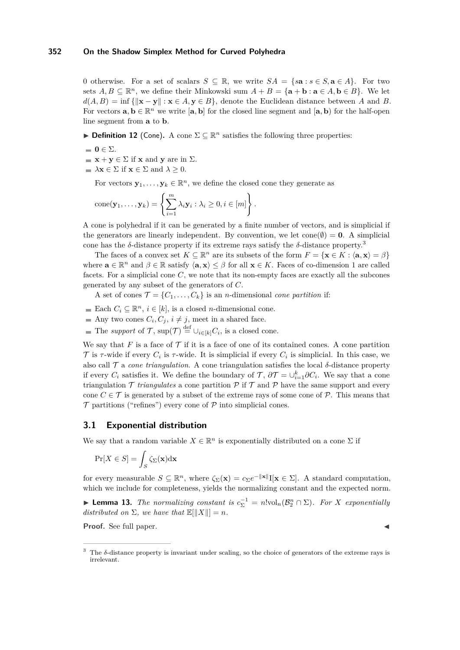0 otherwise. For a set of scalars  $S \subseteq \mathbb{R}$ , we write  $SA = \{sa : s \in S, a \in A\}$ . For two sets  $A, B \subseteq \mathbb{R}^n$ , we define their Minkowski sum  $A + B = \{a + b : a \in A, b \in B\}$ . We let  $d(A, B) = \inf \{ ||\mathbf{x} - \mathbf{y}|| : \mathbf{x} \in A, \mathbf{y} \in B \}$ , denote the Euclidean distance between *A* and *B*. For vectors  $\mathbf{a}, \mathbf{b} \in \mathbb{R}^n$  we write  $[\mathbf{a}, \mathbf{b}]$  for the closed line segment and  $[\mathbf{a}, \mathbf{b})$  for the half-open line segment from **a** to **b**.

**Definition 12** (Cone). A cone  $\Sigma \subseteq \mathbb{R}^n$  satisfies the following three properties:

- $\blacksquare$  **0**  $\in \Sigma$ .
- $\blacksquare$  **x** + **y**  $\in \Sigma$  if **x** and **y** are in  $\Sigma$ .
- $\blacktriangleright$  **Ax**  $\in \Sigma$  if **x**  $\in \Sigma$  and  $\lambda \geq 0$ .

For vectors  $\mathbf{y}_1, \ldots, \mathbf{y}_k \in \mathbb{R}^n$ , we define the closed cone they generate as

cone(
$$
\mathbf{y}_1, ..., \mathbf{y}_k
$$
) =  $\left\{\sum_{i=1}^m \lambda_i \mathbf{y}_i : \lambda_i \geq 0, i \in [m]\right\}.$ 

A cone is polyhedral if it can be generated by a finite number of vectors, and is simplicial if the generators are linearly independent. By convention, we let  $cone(\emptyset) = 0$ . A simplicial cone has the  $\delta$ -distance property if its extreme rays satisfy the  $\delta$ -distance property.<sup>[3](#page-7-2)</sup>

The faces of a convex set  $K \subseteq \mathbb{R}^n$  are its subsets of the form  $F = \{ \mathbf{x} \in K : \langle \mathbf{a}, \mathbf{x} \rangle = \beta \}$ where  $\mathbf{a} \in \mathbb{R}^n$  and  $\beta \in \mathbb{R}$  satisfy  $\langle \mathbf{a}, \mathbf{x} \rangle \leq \beta$  for all  $\mathbf{x} \in K$ . Faces of co-dimension 1 are called facets. For a simplicial cone *C*, we note that its non-empty faces are exactly all the subcones generated by any subset of the generators of *C*.

A set of cones  $\mathcal{T} = \{C_1, \ldots, C_k\}$  is an *n*-dimensional *cone partition* if:

- Each  $C_i \subseteq \mathbb{R}^n$ ,  $i \in [k]$ , is a closed *n*-dimensional cone.
- Any two cones  $C_i, C_j, i \neq j$ , meet in a shared face.
- The *support* of  $\mathcal{T}$ ,  $\sup(\mathcal{T}) \stackrel{\text{def}}{=} \cup_{i \in [k]} C_i$ , is a closed cone.

We say that *F* is a face of  $\mathcal T$  if it is a face of one of its contained cones. A cone partition  $\mathcal T$  is  $\tau$ -wide if every  $C_i$  is  $\tau$ -wide. It is simplicial if every  $C_i$  is simplicial. In this case, we also call  $\mathcal T$  a *cone triangulation*. A cone triangulation satisfies the local  $\delta$ -distance property if every  $C_i$  satisfies it. We define the boundary of  $\mathcal{T}$ ,  $\partial \mathcal{T} = \cup_{i=1}^k \partial C_i$ . We say that a cone triangulation  $\mathcal T$  *triangulates* a cone partition  $\mathcal P$  if  $\mathcal T$  and  $\mathcal P$  have the same support and every cone  $C \in \mathcal{T}$  is generated by a subset of the extreme rays of some cone of P. This means that  $\mathcal T$  partitions ("refines") every cone of  $\mathcal P$  into simplicial cones.

# <span id="page-7-0"></span>**3.1 Exponential distribution**

We say that a random variable  $X \in \mathbb{R}^n$  is exponentially distributed on a cone  $\Sigma$  if

$$
\Pr[X \in S] = \int_S \zeta_\Sigma(\mathbf{x}) \mathrm{d}\mathbf{x}
$$

for every measurable  $S \subseteq \mathbb{R}^n$ , where  $\zeta_{\Sigma}(\mathbf{x}) = c_{\Sigma}e^{-\|\mathbf{x}\|}\mathbf{I}[\mathbf{x} \in \Sigma]$ . A standard computation, which we include for completeness, yields the normalizing constant and the expected norm.

<span id="page-7-1"></span>► **Lemma 13.** *The normalizing constant is*  $c_{\Sigma}^{-1} = n! \text{vol}_n(\mathcal{B}_2^n \cap \Sigma)$ *. For X exponentially distributed on*  $\Sigma$ *, we have that*  $\mathbb{E}[\|X\|] = n$ *.* 

**Proof.** See full paper.

<span id="page-7-2"></span><sup>3</sup> The *δ*-distance property is invariant under scaling, so the choice of generators of the extreme rays is irrelevant.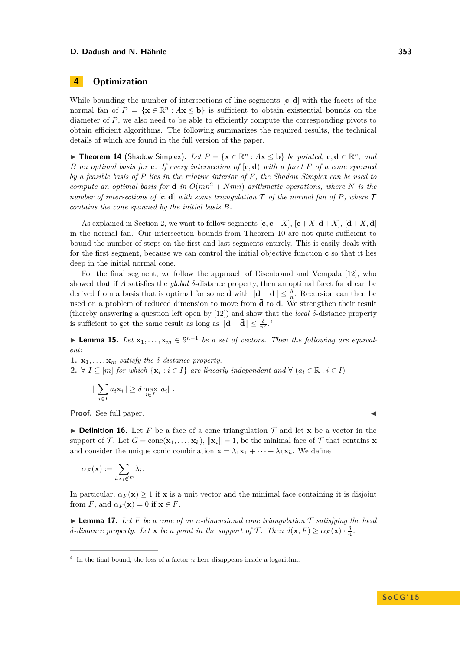# **4 Optimization**

While bounding the number of intersections of line segments [**c***,* **d**] with the facets of the normal fan of  $P = \{ \mathbf{x} \in \mathbb{R}^n : A\mathbf{x} \leq \mathbf{b} \}$  is sufficient to obtain existential bounds on the diameter of *P*, we also need to be able to efficiently compute the corresponding pivots to obtain efficient algorithms. The following summarizes the required results, the technical details of which are found in the full version of the paper.

▶ **Theorem 14** (Shadow Simplex). Let  $P = \{x \in \mathbb{R}^n : Ax \leq b\}$  be pointed,  $c, d \in \mathbb{R}^n$ , and *B an optimal basis for* **c***. If every intersection of* [**c***,* **d**) *with a facet F of a cone spanned by a feasible basis of P lies in the relative interior of F, the Shadow Simplex can be used to compute an optimal basis for* **d** *in*  $O(mn^2 + Nmn)$  *arithmetic operations, where N is the number of intersections of*  $[c, d]$  *with some triangulation*  $\mathcal T$  *of the normal fan of*  $P$ *, where*  $\mathcal T$ *contains the cone spanned by the initial basis B.*

As explained in Section [2,](#page-1-1) we want to follow segments  $[\mathbf{c}, \mathbf{c} + X]$ ,  $[\mathbf{c} + X, \mathbf{d} + X]$ ,  $[\mathbf{d} + X, \mathbf{d}]$ in the normal fan. Our intersection bounds from Theorem [10](#page-5-0) are not quite sufficient to bound the number of steps on the first and last segments entirely. This is easily dealt with for the first segment, because we can control the initial objective function **c** so that it lies deep in the initial normal cone.

For the final segment, we follow the approach of Eisenbrand and Vempala [\[12\]](#page-14-14), who showed that if *A* satisfies the *global δ*-distance property, then an optimal facet for **d** can be derived from a basis that is optimal for some  $\tilde{\mathbf{d}}$  with  $\|\mathbf{d}-\tilde{\mathbf{d}}\| \leq \frac{\delta}{n}$ . Recursion can then be used on a problem of reduced dimension to move from  $\tilde{\mathbf{d}}$  to  $\mathbf{d}$ . We strengthen their result (thereby answering a question left open by [\[12\]](#page-14-14)) and show that the *local δ*-distance property is sufficient to get the same result as long as  $\|\mathbf{d} - \tilde{\mathbf{d}}\| \le \frac{\delta}{n^2}$ .<sup>[4](#page-8-0)</sup>

<span id="page-8-1"></span>▶ **Lemma 15.** *Let*  $\mathbf{x}_1, ..., \mathbf{x}_m \in \mathbb{S}^{n-1}$  *be a set of vectors. Then the following are equivalent:*

**1.**  $\mathbf{x}_1, \ldots, \mathbf{x}_m$  *satisfy the*  $\delta$ *-distance property.* **2.** ∀  $I \subseteq [m]$  *for which*  $\{x_i : i \in I\}$  *are linearly independent and* ∀  $(a_i \in \mathbb{R} : i \in I)$ 

$$
\|\sum_{i\in I} a_i \mathbf{x}_i\| \ge \delta \max_{i\in I} |a_i|.
$$

**Proof.** See full paper.

**Definition 16.** Let F be a face of a cone triangulation  $\mathcal{T}$  and let **x** be a vector in the support of  $\mathcal{T}$ . Let  $G = \text{cone}(\mathbf{x}_1, \dots, \mathbf{x}_k)$ ,  $\|\mathbf{x}_i\| = 1$ , be the minimal face of  $\mathcal{T}$  that contains **x** and consider the unique conic combination  $\mathbf{x} = \lambda_1 \mathbf{x}_1 + \cdots + \lambda_k \mathbf{x}_k$ . We define

$$
\alpha_F(\mathbf{x}) := \sum_{i: \mathbf{x}_i \notin F} \lambda_i.
$$

In particular,  $\alpha_F(\mathbf{x}) \geq 1$  if **x** is a unit vector and the minimal face containing it is disjoint from *F*, and  $\alpha_F(\mathbf{x}) = 0$  if  $\mathbf{x} \in F$ .

<span id="page-8-2"></span> $\blacktriangleright$  **Lemma 17.** Let F be a cone of an *n*-dimensional cone triangulation  $\mathcal T$  satisfying the local *δ*-distance property. Let **x** be a point in the support of  $\mathcal{T}$ . Then  $d(\mathbf{x}, F) \geq \alpha_F(\mathbf{x}) \cdot \frac{\delta}{n}$ .

<span id="page-8-0"></span> $4\;$  In the final bound, the loss of a factor *n* here disappears inside a logarithm.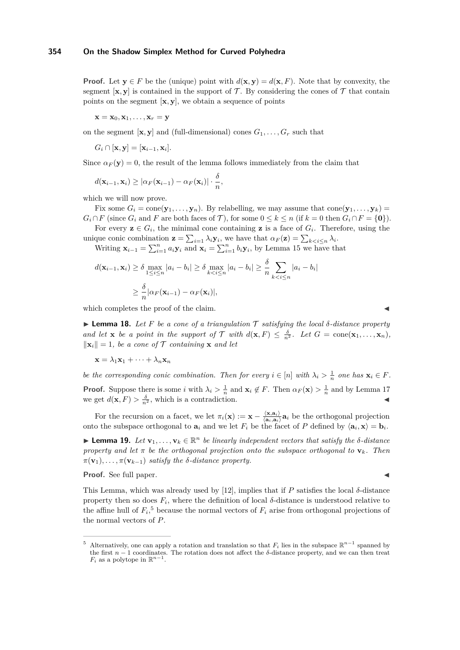**Proof.** Let  $y \in F$  be the (unique) point with  $d(x, y) = d(x, F)$ . Note that by convexity, the segment  $[\mathbf{x}, \mathbf{y}]$  is contained in the support of T. By considering the cones of T that contain points on the segment  $[\mathbf{x}, \mathbf{y}]$ , we obtain a sequence of points

 $\mathbf{x} = \mathbf{x}_0, \mathbf{x}_1, \dots, \mathbf{x}_r = \mathbf{y}$ 

on the segment  $[\mathbf{x}, \mathbf{y}]$  and (full-dimensional) cones  $G_1, \ldots, G_r$  such that

$$
G_i \cap [\mathbf{x}, \mathbf{y}] = [\mathbf{x}_{i-1}, \mathbf{x}_i].
$$

Since  $\alpha_F(\mathbf{y}) = 0$ , the result of the lemma follows immediately from the claim that

$$
d(\mathbf{x}_{i-1}, \mathbf{x}_i) \geq |\alpha_F(\mathbf{x}_{i-1}) - \alpha_F(\mathbf{x}_i)| \cdot \frac{\delta}{n},
$$

which we will now prove.

Fix some  $G_i = \text{cone}(\mathbf{y}_1, \dots, \mathbf{y}_n)$ . By relabelling, we may assume that  $\text{cone}(\mathbf{y}_1, \dots, \mathbf{y}_k)$  $G_i \cap F$  (since  $G_i$  and *F* are both faces of *T*), for some  $0 \leq k \leq n$  (if  $k = 0$  then  $G_i \cap F = \{0\}$ ).

For every  $z \in G_i$ , the minimal cone containing z is a face of  $G_i$ . Therefore, using the unique conic combination  $\mathbf{z} = \sum_{i=1} \lambda_i \mathbf{y}_i$ , we have that  $\alpha_F(\mathbf{z}) = \sum_{k \leq i \leq n} \lambda_i$ .

Writing  $\mathbf{x}_{i-1} = \sum_{i=1}^{n} a_i \mathbf{y}_i$  and  $\mathbf{x}_i = \sum_{i=1}^{n} b_i \mathbf{y}_i$ , by Lemma [15](#page-8-1) we have that

$$
d(\mathbf{x}_{i-1}, \mathbf{x}_i) \ge \delta \max_{1 \le i \le n} |a_i - b_i| \ge \delta \max_{k < i \le n} |a_i - b_i| \ge \frac{\delta}{n} \sum_{k < i \le n} |a_i - b_i|
$$
\n
$$
\ge \frac{\delta}{n} |\alpha_F(\mathbf{x}_{i-1}) - \alpha_F(\mathbf{x}_i)|,
$$

which completes the proof of the claim.

<span id="page-9-1"></span> $\blacktriangleright$  **Lemma 18.** Let F be a cone of a triangulation  $\mathcal T$  satisfying the local  $\delta$ -distance property *and let* **x** *be a point in the support of*  $\mathcal{T}$  *with*  $d(\mathbf{x}, F) \leq \frac{\delta}{n^2}$ *. Let*  $G = \text{cone}(\mathbf{x}_1, \dots, \mathbf{x}_n)$ *,*  $\|\mathbf{x}_i\| = 1$ , be a cone of T containing **x** and let

$$
\mathbf{x} = \lambda_1 \mathbf{x}_1 + \dots + \lambda_n \mathbf{x}_n
$$

*be the corresponding conic combination. Then for every*  $i \in [n]$  *with*  $\lambda_i > \frac{1}{n}$  *one has*  $\mathbf{x}_i \in F$ *.* 

**Proof.** Suppose there is some *i* with  $\lambda_i > \frac{1}{n}$  and  $\mathbf{x}_i \notin F$ . Then  $\alpha_F(\mathbf{x}) > \frac{1}{n}$  and by Lemma [17](#page-8-2) we get  $d(\mathbf{x}, F) > \frac{\delta}{n^2}$ , which is a contradiction.

For the recursion on a facet, we let  $\pi_i(\mathbf{x}) := \mathbf{x} - \frac{\langle \mathbf{x}, \mathbf{a}_i \rangle}{\langle \mathbf{a}_i, \mathbf{a}_i \rangle}$  $\frac{\langle \mathbf{x}, \mathbf{a}_i \rangle}{\langle \mathbf{a}_i, \mathbf{a}_i \rangle} \mathbf{a}_i$  be the orthogonal projection onto the subspace orthogonal to  $\mathbf{a}_i$  and we let  $F_i$  be the facet of P defined by  $\langle \mathbf{a}_i, \mathbf{x} \rangle = \mathbf{b}_i$ .

 $\blacktriangleright$  **Lemma 19.** *Let* **v**<sub>1</sub>*, . . .* , **v**<sub>*k*</sub> ∈ ℝ<sup>*n*</sup> *be linearly independent vectors that satisfy the δ-distance property and let*  $\pi$  *be the orthogonal projection onto the subspace orthogonal to*  $\mathbf{v}_k$ *. Then*  $\pi(\mathbf{v}_1), \ldots, \pi(\mathbf{v}_{k-1})$  *satisfy the δ-distance property.* 

**Proof.** See full paper.

This Lemma, which was already used by [\[12\]](#page-14-14), implies that if *P* satisfies the local *δ*-distance property then so does  $F_i$ , where the definition of local  $\delta$ -distance is understood relative to the affine hull of  $F_i$ <sup>[5](#page-9-0)</sup> because the normal vectors of  $F_i$  arise from orthogonal projections of the normal vectors of *P*.

<span id="page-9-0"></span><sup>&</sup>lt;sup>5</sup> Alternatively, one can apply a rotation and translation so that  $F_i$  lies in the subspace  $\mathbb{R}^{n-1}$  spanned by the first  $n-1$  coordinates. The rotation does not affect the  $\delta$ -distance property, and we can then treat  $F_i$  as a polytope in  $\mathbb{R}^{n-1}$ .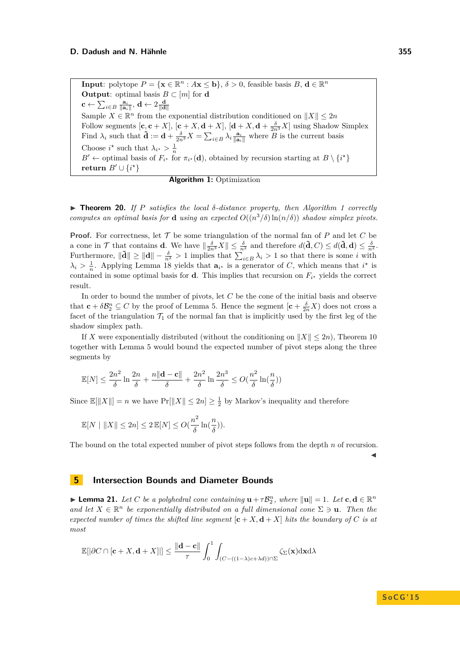**Input**: polytope  $P = {\mathbf{x} \in \mathbb{R}^n : A\mathbf{x} \leq \mathbf{b}}$ ,  $\delta > 0$ , feasible basis  $B, \mathbf{d} \in \mathbb{R}^n$ **Output**: optimal basis  $B \subset [m]$  for **d**  $\mathbf{c} \leftarrow \sum_{i \in B} \frac{\mathbf{a}_i}{\|\mathbf{a}_i\|}, \, \mathbf{d} \leftarrow 2 \frac{\mathbf{d}}{\|\mathbf{d}\|}$ Sample  $X \in \mathbb{R}^n$  from the exponential distribution conditioned on  $||X|| \leq 2n$ Follow segments  $[\mathbf{c}, \mathbf{c} + X]$ ,  $[\mathbf{c} + X, \mathbf{d} + X]$ ,  $[\mathbf{d} + X, \mathbf{d} + \frac{\delta}{2n^3}X]$  using Shadow Simplex Find  $\lambda_i$  such that  $\tilde{\mathbf{d}} := \mathbf{d} + \frac{\delta}{2n^3} X = \sum_{i \in B} \lambda_i \frac{\mathbf{a}_i}{\|\mathbf{a}_i\|}$  where  $\overline{B}$  is the current basis Choose  $i^*$  such that  $\lambda_{i^*} > \frac{1}{n}$ *B*<sup> $\prime$ </sup> ← optimal basis of  $F_{i^*}$  for  $\pi_{i^*}(\mathbf{d})$ , obtained by recursion starting at  $B \setminus \{i^*\}$ **return**  $B' \cup \{i^*\}$ 



<span id="page-10-1"></span><span id="page-10-0"></span>I **Theorem 20.** *If P satisfies the local δ-distance property, then Algorithm [1](#page-10-1) correctly computes an optimal basis for* **d** *using an expected*  $O((n^3/\delta) \ln(n/\delta))$  *shadow simplex pivots.* 

**Proof.** For correctness, let T be some triangulation of the normal fan of P and let C be a cone in  $\mathcal{T}$  that contains **d**. We have  $\|\frac{\delta}{2n^3}X\| \leq \frac{\delta}{n^2}$  and therefore  $d(\tilde{\mathbf{d}}, C) \leq d(\tilde{\mathbf{d}}, \mathbf{d}) \leq \frac{\delta}{n^2}$ . Furthermore,  $\|\tilde{\mathbf{d}}\| \geq \|\mathbf{d}\| - \frac{\delta}{n^2} > 1$  implies that  $\sum_{i \in B}^{\infty} \lambda_i > 1$  so that there is some *i* with  $\lambda_i > \frac{1}{n}$ . Applying Lemma [18](#page-9-1) yields that  $\mathbf{a}_{i^*}$  is a generator of *C*, which means that  $i^*$  is contained in some optimal basis for **d**. This implies that recursion on  $F_{i^*}$  yields the correct result.

In order to bound the number of pivots, let *C* be the cone of the initial basis and observe that  $\mathbf{c} + \delta \mathcal{B}_2^n \subseteq C$  by the proof of Lemma [5.](#page-3-1) Hence the segment  $[\mathbf{c} + \frac{\delta}{2n}X)$  does not cross a facet of the triangulation  $\mathcal{T}_1$  of the normal fan that is implicitly used by the first leg of the shadow simplex path.

If X were exponentially distributed (without the conditioning on  $||X|| \leq 2n$ ), Theorem [10](#page-5-0) together with Lemma [5](#page-3-1) would bound the expected number of pivot steps along the three segments by

$$
\mathbb{E}[N] \le \frac{2n^2}{\delta} \ln \frac{2n}{\delta} + \frac{n\|\mathbf{d} - \mathbf{c}\|}{\delta} + \frac{2n^2}{\delta} \ln \frac{2n^3}{\delta} \le O(\frac{n^2}{\delta} \ln(\frac{n}{\delta}))
$$

Since  $\mathbb{E}[\|X\|] = n$  we have  $\Pr[\|X\| \leq 2n] \geq \frac{1}{2}$  by Markov's inequality and therefore

$$
\mathbb{E}[N \mid ||X|| \le 2n] \le 2 \mathbb{E}[N] \le O(\frac{n^2}{\delta} \ln(\frac{n}{\delta})).
$$

The bound on the total expected number of pivot steps follows from the depth *n* of recursion.

 $\blacktriangleleft$ 

# **5 Intersection Bounds and Diameter Bounds**

<span id="page-10-2"></span>**Example 11.** Let C be a polyhedral cone containing  $\mathbf{u} + \tau \mathcal{B}_2^n$ , where  $\|\mathbf{u}\| = 1$ . Let  $\mathbf{c}, \mathbf{d} \in \mathbb{R}^n$ and let  $X \in \mathbb{R}^n$  be exponentially distributed on a full dimensional cone  $\Sigma \ni \mathbf{u}$ . Then the *expected number of times the shifted line segment*  $[\mathbf{c} + X, \mathbf{d} + X]$  *hits the boundary of C is at most*

$$
\mathbb{E}[|\partial C \cap [\mathbf{c} + X, \mathbf{d} + X]|] \le \frac{\|\mathbf{d} - \mathbf{c}\|}{\tau} \int_0^1 \int_{(C - ((1 - \lambda)c + \lambda d)) \cap \Sigma} \zeta_{\Sigma}(\mathbf{x}) d\mathbf{x} d\lambda
$$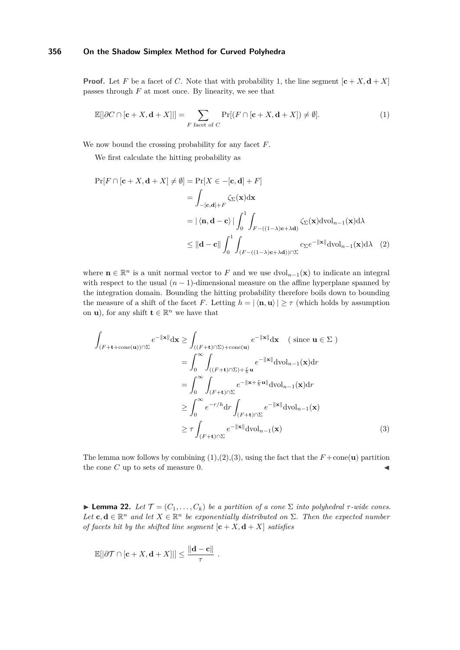**Proof.** Let *F* be a facet of *C*. Note that with probability 1, the line segment  $[\mathbf{c} + X, \mathbf{d} + X]$ passes through *F* at most once. By linearity, we see that

<span id="page-11-1"></span>
$$
\mathbb{E}[|\partial C \cap [\mathbf{c} + X, \mathbf{d} + X]|] = \sum_{F \text{ facet of } C} \Pr[(F \cap [\mathbf{c} + X, \mathbf{d} + X]) \neq \emptyset].
$$
 (1)

We now bound the crossing probability for any facet *F*.

We first calculate the hitting probability as

<span id="page-11-2"></span>
$$
\Pr[F \cap [\mathbf{c} + X, \mathbf{d} + X] \neq \emptyset] = \Pr[X \in -[\mathbf{c}, \mathbf{d}] + F]
$$
  
\n
$$
= \int_{-[\mathbf{c}, \mathbf{d}] + F} \zeta_{\Sigma}(\mathbf{x}) d\mathbf{x}
$$
  
\n
$$
= |\langle \mathbf{n}, \mathbf{d} - \mathbf{c} \rangle| \int_{0}^{1} \int_{F - ((1 - \lambda)\mathbf{c} + \lambda \mathbf{d})} \zeta_{\Sigma}(\mathbf{x}) d\mathrm{vol}_{n-1}(\mathbf{x}) d\lambda
$$
  
\n
$$
\leq ||\mathbf{d} - \mathbf{c}|| \int_{0}^{1} \int_{(F - ((1 - \lambda)\mathbf{c} + \lambda \mathbf{d})) \cap \Sigma} c_{\Sigma} e^{-||\mathbf{x}||} d\mathrm{vol}_{n-1}(\mathbf{x}) d\lambda \quad (2)
$$

where  $\mathbf{n} \in \mathbb{R}^n$  is a unit normal vector to F and we use  $\text{dvol}_{n-1}(\mathbf{x})$  to indicate an integral with respect to the usual  $(n-1)$ -dimensional measure on the affine hyperplane spanned by the integration domain. Bounding the hitting probability therefore boils down to bounding the measure of a shift of the facet *F*. Letting  $h = |\langle \mathbf{n}, \mathbf{u} \rangle| \geq \tau$  (which holds by assumption on **u**), for any shift  $\mathbf{t} \in \mathbb{R}^n$  we have that

$$
\int_{(F+\mathbf{t}+\text{cone}(\mathbf{u}))\cap\Sigma} e^{-\|\mathbf{x}\|} d\mathbf{x} \ge \int_{((F+\mathbf{t})\cap\Sigma)+\text{cone}(\mathbf{u})} e^{-\|\mathbf{x}\|} d\mathbf{x} \quad (\text{ since } \mathbf{u} \in \Sigma)
$$
\n
$$
= \int_{0}^{\infty} \int_{((F+\mathbf{t})\cap\Sigma)+\frac{r}{h}\mathbf{u}} e^{-\|\mathbf{x}\|} d\text{vol}_{n-1}(\mathbf{x}) dr
$$
\n
$$
= \int_{0}^{\infty} \int_{(F+\mathbf{t})\cap\Sigma} e^{-\|\mathbf{x}+\frac{r}{h}\mathbf{u}\|} d\text{vol}_{n-1}(\mathbf{x}) dr
$$
\n
$$
\ge \int_{0}^{\infty} e^{-r/h} dr \int_{(F+\mathbf{t})\cap\Sigma} e^{-\|\mathbf{x}\|} d\text{vol}_{n-1}(\mathbf{x})
$$
\n
$$
\ge \tau \int_{(F+\mathbf{t})\cap\Sigma} e^{-\|\mathbf{x}\|} d\text{vol}_{n-1}(\mathbf{x}) \tag{3}
$$

<span id="page-11-3"></span>The lemma now follows by combining  $(1),(2),(3)$  $(1),(2),(3)$  $(1),(2),(3)$  $(1),(2),(3)$  $(1),(2),(3)$ , using the fact that the  $F+\text{cone}(\mathbf{u})$  partition the cone  $C$  up to sets of measure 0.

<span id="page-11-0"></span>**Lemma 22.** *Let*  $\mathcal{T} = (C_1, \ldots, C_k)$  *be a partition of a cone*  $\Sigma$  *into polyhedral*  $\tau$ -wide cones. Let  $c, d \in \mathbb{R}^n$  and let  $X \in \mathbb{R}^n$  be exponentially distributed on  $\Sigma$ . Then the expected number *of facets hit by the shifted line segment*  $[\mathbf{c} + X, \mathbf{d} + X]$  *satisfies* 

$$
\mathbb{E}[|\partial \mathcal{T} \cap [\mathbf{c} + X, \mathbf{d} + X]|] \le \frac{\|\mathbf{d} - \mathbf{c}\|}{\tau}.
$$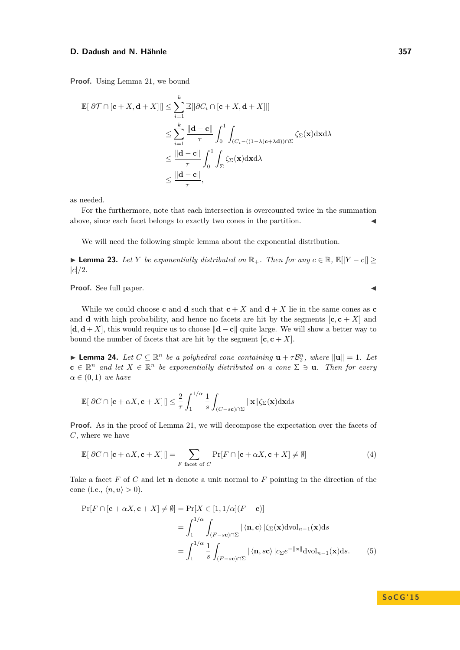**Proof.** Using Lemma [21,](#page-10-2) we bound

$$
\mathbb{E}[|\partial \mathcal{T} \cap [\mathbf{c} + X, \mathbf{d} + X]|] \leq \sum_{i=1}^{k} \mathbb{E}[|\partial C_i \cap [\mathbf{c} + X, \mathbf{d} + X]|]
$$
  

$$
\leq \sum_{i=1}^{k} \frac{\|\mathbf{d} - \mathbf{c}\|}{\tau} \int_{0}^{1} \int_{(C_i - ((1-\lambda)\mathbf{c} + \lambda \mathbf{d})) \cap \Sigma} \zeta_{\Sigma}(\mathbf{x}) d\mathbf{x} d\lambda
$$
  

$$
\leq \frac{\|\mathbf{d} - \mathbf{c}\|}{\tau} \int_{0}^{1} \int_{\Sigma} \zeta_{\Sigma}(\mathbf{x}) d\mathbf{x} d\lambda
$$
  

$$
\leq \frac{\|\mathbf{d} - \mathbf{c}\|}{\tau},
$$

as needed.

For the furthermore, note that each intersection is overcounted twice in the summation above, since each facet belongs to exactly two cones in the partition.

We will need the following simple lemma about the exponential distribution.

<span id="page-12-0"></span>**► Lemma 23.** Let *Y* be exponentially distributed on  $\mathbb{R}_+$ . Then for any  $c \in \mathbb{R}$ ,  $\mathbb{E}[[Y - c]] \ge$ |*c*|*/*2*.*

**Proof.** See full paper.

While we could choose **c** and **d** such that  $c + X$  and  $d + X$  lie in the same cones as **c** and **d** with high probability, and hence no facets are hit by the segments  $[\mathbf{c}, \mathbf{c} + X]$  and  $[\mathbf{d}, \mathbf{d} + X]$ , this would require us to choose  $\|\mathbf{d} - \mathbf{c}\|$  quite large. We will show a better way to bound the number of facets that are hit by the segment  $[\mathbf{c}, \mathbf{c} + X]$ .

<span id="page-12-3"></span>**Example 24.** *Let*  $C \subseteq \mathbb{R}^n$  *be a polyhedral cone containing*  $\mathbf{u} + \tau \mathcal{B}_2^n$ *, where*  $\|\mathbf{u}\| = 1$ *. Let*  $\mathbf{c} \in \mathbb{R}^n$  and let  $X \in \mathbb{R}^n$  be exponentially distributed on a cone  $\Sigma \ni \mathbf{u}$ . Then for every  $\alpha \in (0,1)$  *we have* 

$$
\mathbb{E}[|\partial C \cap [\mathbf{c} + \alpha X, \mathbf{c} + X]|] \le \frac{2}{\tau} \int_{1}^{1/\alpha} \frac{1}{s} \int_{(C-s\mathbf{c}) \cap \Sigma} ||\mathbf{x}|| \zeta_{\Sigma}(\mathbf{x}) \mathrm{d}\mathbf{x} \mathrm{d}s
$$

Proof. As in the proof of Lemma [21,](#page-10-2) we will decompose the expectation over the facets of *C*, where we have

<span id="page-12-1"></span>
$$
\mathbb{E}[|\partial C \cap [\mathbf{c} + \alpha X, \mathbf{c} + X]|] = \sum_{F \text{ facet of } C} \Pr[F \cap [\mathbf{c} + \alpha X, \mathbf{c} + X] \neq \emptyset]
$$
(4)

Take a facet *F* of *C* and let **n** denote a unit normal to *F* pointing in the direction of the cone (i.e.,  $\langle n, u \rangle > 0$ ).

$$
\Pr[F \cap [\mathbf{c} + \alpha X, \mathbf{c} + X] \neq \emptyset] = \Pr[X \in [1, 1/\alpha](F - \mathbf{c})]
$$
  
= 
$$
\int_{1}^{1/\alpha} \int_{(F - s\mathbf{c}) \cap \Sigma} |\langle \mathbf{n}, \mathbf{c} \rangle| \langle \Sigma(\mathbf{x}) \mathrm{d} \mathrm{vol}_{n-1}(\mathbf{x}) \mathrm{d} s
$$
  
= 
$$
\int_{1}^{1/\alpha} \frac{1}{s} \int_{(F - s\mathbf{c}) \cap \Sigma} |\langle \mathbf{n}, s\mathbf{c} \rangle| c_{\Sigma} e^{-\|\mathbf{x}\|} \mathrm{d} \mathrm{vol}_{n-1}(\mathbf{x}) \mathrm{d} s.
$$
 (5)

<span id="page-12-2"></span>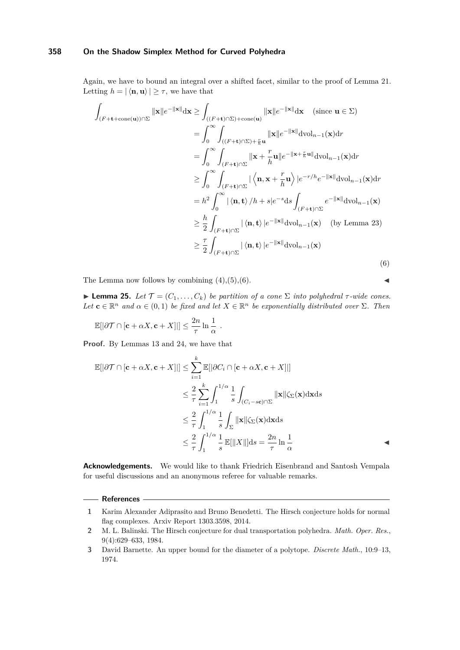Again, we have to bound an integral over a shifted facet, similar to the proof of Lemma [21.](#page-10-2) Letting  $h = |\langle \mathbf{n}, \mathbf{u} \rangle| \geq \tau$ , we have that

$$
\int_{(F+\mathbf{t}+\text{cone}(\mathbf{u}))\cap\Sigma} \|\mathbf{x}\|e^{-\|\mathbf{x}\|} d\mathbf{x} \ge \int_{((F+\mathbf{t})\cap\Sigma)+\text{cone}(\mathbf{u})} \|\mathbf{x}\|e^{-\|\mathbf{x}\|} d\mathbf{x} \quad (\text{since } \mathbf{u} \in \Sigma)
$$
\n
$$
= \int_{0}^{\infty} \int_{((F+\mathbf{t})\cap\Sigma)+\frac{r}{k}\mathbf{u}} \|\mathbf{x}\|e^{-\|\mathbf{x}\|} d\mathrm{vol}_{n-1}(\mathbf{x}) dr
$$
\n
$$
= \int_{0}^{\infty} \int_{(F+\mathbf{t})\cap\Sigma} \|\mathbf{x} + \frac{r}{h}\mathbf{u}\|e^{-\|\mathbf{x}+\frac{r}{h}\mathbf{u}\|} d\mathrm{vol}_{n-1}(\mathbf{x}) dr
$$
\n
$$
\ge \int_{0}^{\infty} \int_{(F+\mathbf{t})\cap\Sigma} |\langle \mathbf{n}, \mathbf{x} + \frac{r}{h}\mathbf{u}\rangle|e^{-r/h}e^{-\|\mathbf{x}\|} d\mathrm{vol}_{n-1}(\mathbf{x}) dr
$$
\n
$$
= h^{2} \int_{0}^{\infty} |\langle \mathbf{n}, \mathbf{t}\rangle| h + s|e^{-s} ds \int_{(F+\mathbf{t})\cap\Sigma} e^{-\|\mathbf{x}\|} d\mathrm{vol}_{n-1}(\mathbf{x})
$$
\n
$$
\ge \frac{h}{2} \int_{(F+\mathbf{t})\cap\Sigma} |\langle \mathbf{n}, \mathbf{t}\rangle|e^{-\|\mathbf{x}\|} d\mathrm{vol}_{n-1}(\mathbf{x}) \quad \text{(by Lemma 23)}
$$
\n
$$
\ge \frac{\tau}{2} \int_{(F+\mathbf{t})\cap\Sigma} |\langle \mathbf{n}, \mathbf{t}\rangle|e^{-\|\mathbf{x}\|} d\mathrm{vol}_{n-1}(\mathbf{x}) \tag{6}
$$

The Lemma now follows by combining  $(4)$ , $(5)$ , $(6)$ .

<span id="page-13-3"></span>**Lemma 25.** *Let*  $\mathcal{T} = (C_1, \ldots, C_k)$  *be partition of a cone*  $\Sigma$  *into polyhedral*  $\tau$ -wide cones.  $Let \mathbf{c} \in \mathbb{R}^n$  *and*  $\alpha \in (0,1)$  *be fixed and let*  $X \in \mathbb{R}^n$  *be exponentially distributed over*  $\Sigma$ *. Then* 

<span id="page-13-4"></span>
$$
\mathbb{E}[|\partial \mathcal{T} \cap [\mathbf{c} + \alpha X, \mathbf{c} + X]|] \leq \frac{2n}{\tau} \ln \frac{1}{\alpha} .
$$

**Proof.** By Lemmas [13](#page-7-1) and [24,](#page-12-3) we have that

$$
\mathbb{E}[|\partial \mathcal{T} \cap [\mathbf{c} + \alpha X, \mathbf{c} + X]|] \leq \sum_{i=1}^{k} \mathbb{E}[|\partial C_i \cap [\mathbf{c} + \alpha X, \mathbf{c} + X]|]
$$
  

$$
\leq \frac{2}{\tau} \sum_{i=1}^{k} \int_{1}^{1/\alpha} \frac{1}{s} \int_{(C_i - s\mathbf{c}) \cap \Sigma} ||\mathbf{x}|| \zeta_{\Sigma}(\mathbf{x}) d\mathbf{x} ds
$$
  

$$
\leq \frac{2}{\tau} \int_{1}^{1/\alpha} \frac{1}{s} \int_{\Sigma} ||\mathbf{x}|| \zeta_{\Sigma}(\mathbf{x}) d\mathbf{x} ds
$$
  

$$
\leq \frac{2}{\tau} \int_{1}^{1/\alpha} \frac{1}{s} \mathbb{E}[||X||] ds = \frac{2n}{\tau} \ln \frac{1}{\alpha}
$$

**Acknowledgements.** We would like to thank Friedrich Eisenbrand and Santosh Vempala for useful discussions and an anonymous referee for valuable remarks.

## **References**

- <span id="page-13-2"></span>**1** Karim Alexander Adiprasito and Bruno Benedetti. The Hirsch conjecture holds for normal flag complexes. Arxiv Report 1303.3598, 2014.
- <span id="page-13-1"></span>**2** M. L. Balinski. The Hirsch conjecture for dual transportation polyhedra. *Math. Oper. Res.*, 9(4):629–633, 1984.
- <span id="page-13-0"></span>**3** David Barnette. An upper bound for the diameter of a polytope. *Discrete Math.*, 10:9–13, 1974.